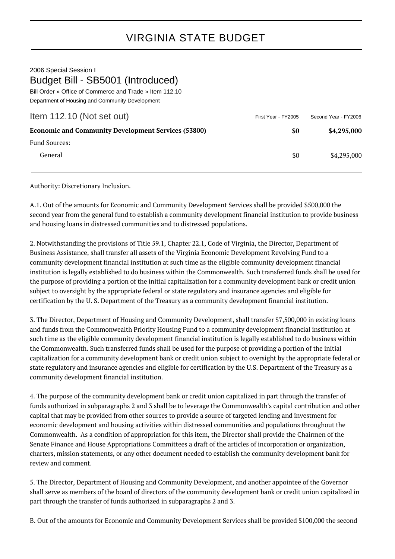## VIRGINIA STATE BUDGET

## 2006 Special Session I Budget Bill - SB5001 (Introduced)

Bill Order » Office of Commerce and Trade » Item 112.10 Department of Housing and Community Development

| Item 112.10 (Not set out)                                  | First Year - FY2005 | Second Year - FY2006 |
|------------------------------------------------------------|---------------------|----------------------|
| <b>Economic and Community Development Services (53800)</b> | \$0                 | \$4,295,000          |
| <b>Fund Sources:</b>                                       |                     |                      |
| General                                                    | \$0                 | \$4,295,000          |

Authority: Discretionary Inclusion.

A.1. Out of the amounts for Economic and Community Development Services shall be provided \$500,000 the second year from the general fund to establish a community development financial institution to provide business and housing loans in distressed communities and to distressed populations.

2. Notwithstanding the provisions of Title 59.1, Chapter 22.1, Code of Virginia, the Director, Department of Business Assistance, shall transfer all assets of the Virginia Economic Development Revolving Fund to a community development financial institution at such time as the eligible community development financial institution is legally established to do business within the Commonwealth. Such transferred funds shall be used for the purpose of providing a portion of the initial capitalization for a community development bank or credit union subject to oversight by the appropriate federal or state regulatory and insurance agencies and eligible for certification by the U. S. Department of the Treasury as a community development financial institution.

3. The Director, Department of Housing and Community Development, shall transfer \$7,500,000 in existing loans and funds from the Commonwealth Priority Housing Fund to a community development financial institution at such time as the eligible community development financial institution is legally established to do business within the Commonwealth. Such transferred funds shall be used for the purpose of providing a portion of the initial capitalization for a community development bank or credit union subject to oversight by the appropriate federal or state regulatory and insurance agencies and eligible for certification by the U.S. Department of the Treasury as a community development financial institution.

4. The purpose of the community development bank or credit union capitalized in part through the transfer of funds authorized in subparagraphs 2 and 3 shall be to leverage the Commonwealth's capital contribution and other capital that may be provided from other sources to provide a source of targeted lending and investment for economic development and housing activities within distressed communities and populations throughout the Commonwealth. As a condition of appropriation for this item, the Director shall provide the Chairmen of the Senate Finance and House Appropriations Committees a draft of the articles of incorporation or organization, charters, mission statements, or any other document needed to establish the community development bank for review and comment.

5. The Director, Department of Housing and Community Development, and another appointee of the Governor shall serve as members of the board of directors of the community development bank or credit union capitalized in part through the transfer of funds authorized in subparagraphs 2 and 3.

B. Out of the amounts for Economic and Community Development Services shall be provided \$100,000 the second